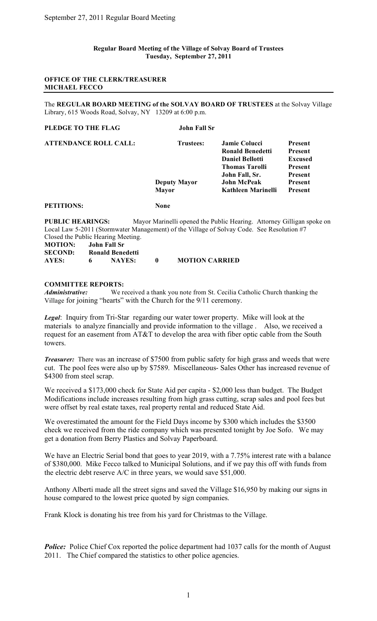#### **Regular Board Meeting of the Village of Solvay Board of Trustees Tuesday, September 27, 2011**

#### **OFFICE OF THE CLERK/TREASURER MICHAEL FECCO**

The **REGULAR BOARD MEETING of the SOLVAY BOARD OF TRUSTEES** at the Solvay Village Library, 615 Woods Road, Solvay, NY 13209 at 6:00 p.m.

| PLEDGE TO THE FLAG           | <b>John Fall Sr</b> |                        |                |
|------------------------------|---------------------|------------------------|----------------|
| <b>ATTENDANCE ROLL CALL:</b> | Trustees:           | Jamie Colucci          | <b>Present</b> |
|                              |                     | Ronald Benedetti       | <b>Present</b> |
|                              |                     | <b>Daniel Bellotti</b> | <b>Excused</b> |
|                              |                     | <b>Thomas Tarolli</b>  | <b>Present</b> |
|                              |                     | John Fall, Sr.         | <b>Present</b> |
|                              | <b>Deputy Mayor</b> | John McPeak            | <b>Present</b> |
|                              | Mayor               | Kathleen Marinelli     | <b>Present</b> |
| <b>PETITIONS:</b>            | None                |                        |                |

**PUBLIC HEARINGS:** Mayor Marinelli opened the Public Hearing. Attorney Gilligan spoke on Local Law 5-2011 (Stormwater Management) of the Village of Solvay Code. See Resolution #7 Closed the Public Hearing Meeting.

| <b>MOTION:</b> |   | John Fall Sr            |                       |
|----------------|---|-------------------------|-----------------------|
| <b>SECOND:</b> |   | <b>Ronald Benedetti</b> |                       |
| AYES:          | 6 | <b>NAYES:</b>           | <b>MOTION CARRIED</b> |

#### **COMMITTEE REPORTS:**

*Administrative:* We received a thank you note from St. Cecilia Catholic Church thanking the Village for joining "hearts" with the Church for the 9/11 ceremony.

*Legal*: Inquiry from Tri-Star regarding our water tower property. Mike will look at the materials to analyze financially and provide information to the village . Also, we received a request for an easement from AT&T to develop the area with fiber optic cable from the South towers.

*Treasurer:* There was an increase of \$7500 from public safety for high grass and weeds that were cut. The pool fees were also up by \$7589. Miscellaneous- Sales Other has increased revenue of \$4300 from steel scrap.

We received a \$173,000 check for State Aid per capita - \$2,000 less than budget. The Budget Modifications include increases resulting from high grass cutting, scrap sales and pool fees but were offset by real estate taxes, real property rental and reduced State Aid.

We overestimated the amount for the Field Days income by \$300 which includes the \$3500 check we received from the ride company which was presented tonight by Joe Sofo. We may get a donation from Berry Plastics and Solvay Paperboard.

We have an Electric Serial bond that goes to year 2019, with a 7.75% interest rate with a balance of \$380,000. Mike Fecco talked to Municipal Solutions, and if we pay this off with funds from the electric debt reserve A/C in three years, we would save \$51,000.

Anthony Alberti made all the street signs and saved the Village \$16,950 by making our signs in house compared to the lowest price quoted by sign companies.

Frank Klock is donating his tree from his yard for Christmas to the Village.

*Police:* Police Chief Cox reported the police department had 1037 calls for the month of August 2011. The Chief compared the statistics to other police agencies.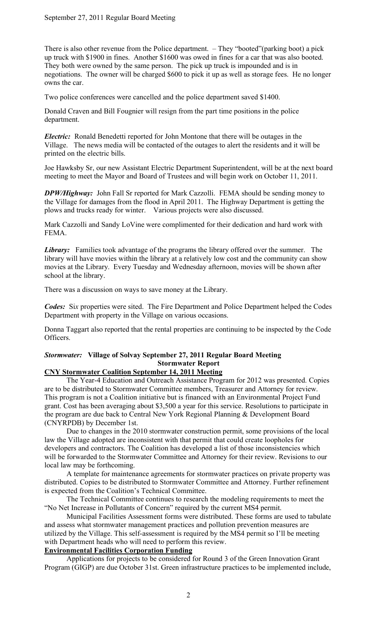There is also other revenue from the Police department. – They "booted"(parking boot) a pick up truck with \$1900 in fines. Another \$1600 was owed in fines for a car that was also booted. They both were owned by the same person. The pick up truck is impounded and is in negotiations. The owner will be charged \$600 to pick it up as well as storage fees. He no longer owns the car.

Two police conferences were cancelled and the police department saved \$1400.

Donald Craven and Bill Fougnier will resign from the part time positions in the police department.

*Electric:* Ronald Benedetti reported for John Montone that there will be outages in the Village. The news media will be contacted of the outages to alert the residents and it will be printed on the electric bills.

Joe Hawksby Sr, our new Assistant Electric Department Superintendent, will be at the next board meeting to meet the Mayor and Board of Trustees and will begin work on October 11, 2011.

*DPW/Highway:* John Fall Sr reported for Mark Cazzolli. FEMA should be sending money to the Village for damages from the flood in April 2011. The Highway Department is getting the plows and trucks ready for winter. Various projects were also discussed.

Mark Cazzolli and Sandy LoVine were complimented for their dedication and hard work with FEMA.

*Library:* Families took advantage of the programs the library offered over the summer. The library will have movies within the library at a relatively low cost and the community can show movies at the Library. Every Tuesday and Wednesday afternoon, movies will be shown after school at the library.

There was a discussion on ways to save money at the Library.

*Codes:* Si*x* properties were sited. The Fire Department and Police Department helped the Codes Department with property in the Village on various occasions.

Donna Taggart also reported that the rental properties are continuing to be inspected by the Code Officers.

## *Stormwater:* **Village of Solvay September 27, 2011 Regular Board Meeting Stormwater Report**

# **CNY Stormwater Coalition September 14, 2011 Meeting**

The Year-4 Education and Outreach Assistance Program for 2012 was presented. Copies are to be distributed to Stormwater Committee members, Treasurer and Attorney for review. This program is not a Coalition initiative but is financed with an Environmental Project Fund grant. Cost has been averaging about \$3,500 a year for this service. Resolutions to participate in the program are due back to Central New York Regional Planning & Development Board (CNYRPDB) by December 1st.

Due to changes in the 2010 stormwater construction permit, some provisions of the local law the Village adopted are inconsistent with that permit that could create loopholes for developers and contractors. The Coalition has developed a list of those inconsistencies which will be forwarded to the Stormwater Committee and Attorney for their review. Revisions to our local law may be forthcoming.

A template for maintenance agreements for stormwater practices on private property was distributed. Copies to be distributed to Stormwater Committee and Attorney. Further refinement is expected from the Coalition's Technical Committee.

The Technical Committee continues to research the modeling requirements to meet the "No Net Increase in Pollutants of Concern" required by the current MS4 permit.

Municipal Facilities Assessment forms were distributed. These forms are used to tabulate and assess what stormwater management practices and pollution prevention measures are utilized by the Village. This self-assessment is required by the MS4 permit so I'll be meeting with Department heads who will need to perform this review.

## **Environmental Facilities Corporation Funding**

Applications for projects to be considered for Round 3 of the Green Innovation Grant Program (GIGP) are due October 31st. Green infrastructure practices to be implemented include,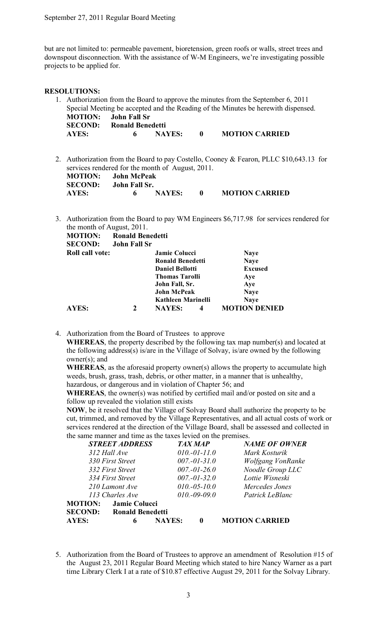but are not limited to: permeable pavement, bioretension, green roofs or walls, street trees and downspout disconnection. With the assistance of W-M Engineers, we're investigating possible projects to be applied for.

#### **RESOLUTIONS:**

- 1. Authorization from the Board to approve the minutes from the September 6, 2011 Special Meeting be accepted and the Reading of the Minutes be herewith dispensed. **MOTION: John Fall Sr SECOND: Ronald Benedetti AYES: 6 NAYES: 0 MOTION CARRIED**
- 2. Authorization from the Board to pay Costello, Cooney & Fearon, PLLC \$10,643.13 for services rendered for the month of August, 2011. **MOTION: John McPeak SECOND: John Fall Sr. AYES: 6 NAYES: 0 MOTION CARRIED**
- 3. Authorization from the Board to pay WM Engineers \$6,717.98 for services rendered for the month of August, 2011.

| <b>MOTION:</b>         | <b>Ronald Benedetti</b> |                        |   |                      |
|------------------------|-------------------------|------------------------|---|----------------------|
| <b>SECOND:</b>         | <b>John Fall Sr</b>     |                        |   |                      |
| <b>Roll call vote:</b> |                         | <b>Jamie Colucci</b>   |   | <b>Naye</b>          |
|                        |                         | Ronald Benedetti       |   | <b>Naye</b>          |
|                        |                         | <b>Daniel Bellotti</b> |   | <b>Excused</b>       |
|                        |                         | <b>Thomas Tarolli</b>  |   | Aye                  |
|                        |                         | John Fall, Sr.         |   | Aye                  |
|                        |                         | <b>John McPeak</b>     |   | <b>Naye</b>          |
|                        |                         | Kathleen Marinelli     |   | <b>Naye</b>          |
| <b>AYES:</b>           | 2                       | <b>NAYES:</b>          | 4 | <b>MOTION DENIED</b> |

4. Authorization from the Board of Trustees to approve

**WHEREAS**, the property described by the following tax map number(s) and located at the following address(s) is/are in the Village of Solvay, is/are owned by the following owner(s); and

**WHEREAS**, as the aforesaid property owner(s) allows the property to accumulate high weeds, brush, grass, trash, debris, or other matter, in a manner that is unhealthy, hazardous, or dangerous and in violation of Chapter 56; and

**WHEREAS**, the owner(s) was notified by certified mail and/or posted on site and a follow up revealed the violation still exists

**NOW**, be it resolved that the Village of Solvay Board shall authorize the property to be cut, trimmed, and removed by the Village Representatives, and all actual costs of work or services rendered at the direction of the Village Board, shall be assessed and collected in the same manner and time as the taxes levied on the premises.

|                | <b>STREET ADDRESS</b>   |               | <b>TAX MAP</b>    | <b>NAME OF OWNER</b>  |
|----------------|-------------------------|---------------|-------------------|-----------------------|
|                | 312 Hall Ave            |               | $010.-01-11.0$    | Mark Kosturik         |
|                | 330 First Street        |               | $007.-01-31.0$    | Wolfgang VonRanke     |
|                | 332 First Street        |               | $007.-01-26.0$    | Noodle Group LLC      |
|                | 334 First Street        |               | $007 - 01 - 32.0$ | Lottie Wisneski       |
|                | 210 Lamont Ave          |               | $010.-05-10.0$    | Mercedes Jones        |
|                | 113 Charles Ave         |               | $010.-09-09.0$    | Patrick LeBlanc       |
| <b>MOTION:</b> | Jamie Colucci           |               |                   |                       |
| <b>SECOND:</b> | <b>Ronald Benedetti</b> |               |                   |                       |
| <b>AYES:</b>   | 6                       | <b>NAYES:</b> |                   | <b>MOTION CARRIED</b> |

5. Authorization from the Board of Trustees to approve an amendment of Resolution #15 of the August 23, 2011 Regular Board Meeting which stated to hire Nancy Warner as a part time Library Clerk I at a rate of \$10.87 effective August 29, 2011 for the Solvay Library.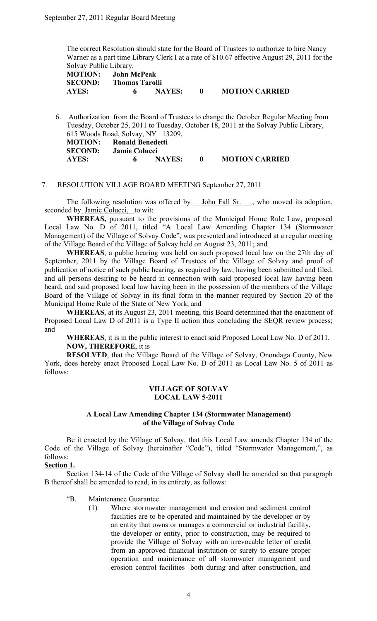The correct Resolution should state for the Board of Trustees to authorize to hire Nancy Warner as a part time Library Clerk I at a rate of \$10.67 effective August 29, 2011 for the Solvay Public Library.

**MOTION: John McPeak SECOND: Thomas Tarolli AYES: 6 NAYES: 0 MOTION CARRIED**

6. Authorization from the Board of Trustees to change the October Regular Meeting from Tuesday, October 25, 2011 to Tuesday, October 18, 2011 at the Solvay Public Library, 615 Woods Road, Solvay, NY 13209. **MOTION: Ronald Benedetti SECOND: Jamie Colucci AYES: 6 NAYES: 0 MOTION CARRIED**

### 7. RESOLUTION VILLAGE BOARD MEETING September 27, 2011

The following resolution was offered by John Fall Sr. , who moved its adoption, seconded by Jamie Colucci, to wit:

**WHEREAS,** pursuant to the provisions of the Municipal Home Rule Law, proposed Local Law No. D of 2011, titled "A Local Law Amending Chapter 134 (Stormwater Management) of the Village of Solvay Code", was presented and introduced at a regular meeting of the Village Board of the Village of Solvay held on August 23, 2011; and

**WHEREAS**, a public hearing was held on such proposed local law on the 27th day of September, 2011 by the Village Board of Trustees of the Village of Solvay and proof of publication of notice of such public hearing, as required by law, having been submitted and filed, and all persons desiring to be heard in connection with said proposed local law having been heard, and said proposed local law having been in the possession of the members of the Village Board of the Village of Solvay in its final form in the manner required by Section 20 of the Municipal Home Rule of the State of New York; and

**WHEREAS**, at its August 23, 2011 meeting, this Board determined that the enactment of Proposed Local Law D of 2011 is a Type II action thus concluding the SEQR review process; and

**WHEREAS**, it is in the public interest to enact said Proposed Local Law No. D of 2011. **NOW, THEREFORE**, it is

**RESOLVED**, that the Village Board of the Village of Solvay, Onondaga County, New York, does hereby enact Proposed Local Law No. D of 2011 as Local Law No. 5 of 2011 as follows:

#### **VILLAGE OF SOLVAY LOCAL LAW 5-2011**

#### **A Local Law Amending Chapter 134 (Stormwater Management) of the Village of Solvay Code**

Be it enacted by the Village of Solvay, that this Local Law amends Chapter 134 of the Code of the Village of Solvay (hereinafter "Code"), titled "Stormwater Management,", as follows:

### **Section 1.**

Section 134-14 of the Code of the Village of Solvay shall be amended so that paragraph B thereof shall be amended to read, in its entirety, as follows:

- "B. Maintenance Guarantee.
	- (1) Where stormwater management and erosion and sediment control facilities are to be operated and maintained by the developer or by an entity that owns or manages a commercial or industrial facility, the developer or entity, prior to construction, may be required to provide the Village of Solvay with an irrevocable letter of credit from an approved financial institution or surety to ensure proper operation and maintenance of all stormwater management and erosion control facilities both during and after construction, and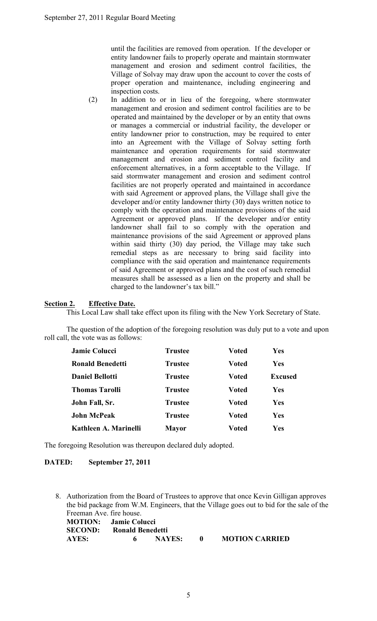until the facilities are removed from operation. If the developer or entity landowner fails to properly operate and maintain stormwater management and erosion and sediment control facilities, the Village of Solvay may draw upon the account to cover the costs of proper operation and maintenance, including engineering and inspection costs.

(2) In addition to or in lieu of the foregoing, where stormwater management and erosion and sediment control facilities are to be operated and maintained by the developer or by an entity that owns or manages a commercial or industrial facility, the developer or entity landowner prior to construction, may be required to enter into an Agreement with the Village of Solvay setting forth maintenance and operation requirements for said stormwater management and erosion and sediment control facility and enforcement alternatives, in a form acceptable to the Village. If said stormwater management and erosion and sediment control facilities are not properly operated and maintained in accordance with said Agreement or approved plans, the Village shall give the developer and/or entity landowner thirty (30) days written notice to comply with the operation and maintenance provisions of the said Agreement or approved plans. If the developer and/or entity landowner shall fail to so comply with the operation and maintenance provisions of the said Agreement or approved plans within said thirty (30) day period, the Village may take such remedial steps as are necessary to bring said facility into compliance with the said operation and maintenance requirements of said Agreement or approved plans and the cost of such remedial measures shall be assessed as a lien on the property and shall be charged to the landowner's tax bill."

## **Section 2. Effective Date.**

This Local Law shall take effect upon its filing with the New York Secretary of State.

The question of the adoption of the foregoing resolution was duly put to a vote and upon roll call, the vote was as follows:

| <b>Jamie Colucci</b>    | <b>Trustee</b> | <b>Voted</b> | Yes            |
|-------------------------|----------------|--------------|----------------|
| <b>Ronald Benedetti</b> | <b>Trustee</b> | <b>Voted</b> | Yes            |
| <b>Daniel Bellotti</b>  | <b>Trustee</b> | <b>Voted</b> | <b>Excused</b> |
| <b>Thomas Tarolli</b>   | <b>Trustee</b> | <b>Voted</b> | Yes            |
| John Fall, Sr.          | <b>Trustee</b> | <b>Voted</b> | Yes            |
| <b>John McPeak</b>      | <b>Trustee</b> | <b>Voted</b> | Yes            |
| Kathleen A. Marinelli   | <b>Mayor</b>   | Voted        | Yes            |

The foregoing Resolution was thereupon declared duly adopted.

### **DATED: September 27, 2011**

8. Authorization from the Board of Trustees to approve that once Kevin Gilligan approves the bid package from W.M. Engineers, that the Village goes out to bid for the sale of the Freeman Ave. fire house.

| <b>MOTION:</b> Jamie Colucci |                         |        |                       |
|------------------------------|-------------------------|--------|-----------------------|
| <b>SECOND:</b>               | <b>Ronald Benedetti</b> |        |                       |
| AYES:                        | 6.                      | NAYES: | <b>MOTION CARRIED</b> |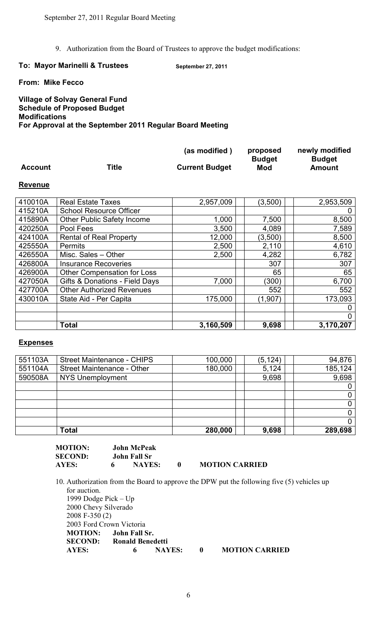9. Authorization from the Board of Trustees to approve the budget modifications:

### To: Mayor Marinelli & Trustees September 27, 2011

**From: Mike Fecco**

## **Village of Solvay General Fund Schedule of Proposed Budget Modifications For Approval at the September 2011 Regular Board Meeting**

|                |       | (as modified)         | proposed             | newly modified          |
|----------------|-------|-----------------------|----------------------|-------------------------|
| <b>Account</b> | Title | <b>Current Budget</b> | <b>Budget</b><br>Mod | <b>Budget</b><br>Amount |

### **Revenue**

| 410010A | <b>Real Estate Taxes</b>           | 2,957,009 | (3,500) | 2,953,509 |
|---------|------------------------------------|-----------|---------|-----------|
| 415210A | <b>School Resource Officer</b>     |           |         | 0         |
| 415890A | <b>Other Public Safety Income</b>  | 1,000     | 7,500   | 8,500     |
| 420250A | Pool Fees                          | 3,500     | 4,089   | 7,589     |
| 424100A | <b>Rental of Real Property</b>     | 12,000    | (3,500) | 8,500     |
| 425550A | <b>Permits</b>                     | 2,500     | 2,110   | 4,610     |
| 426550A | Misc. Sales - Other                | 2,500     | 4,282   | 6,782     |
| 426800A | <b>Insurance Recoveries</b>        |           | 307     | 307       |
| 426900A | <b>Other Compensation for Loss</b> |           | 65      | 65        |
| 427050A | Gifts & Donations - Field Days     | 7,000     | (300)   | 6,700     |
| 427700A | <b>Other Authorized Revenues</b>   |           | 552     | 552       |
| 430010A | State Aid - Per Capita             | 175,000   | (1,907) | 173,093   |
|         |                                    |           |         | 0         |
|         |                                    |           |         | 0         |
|         | <b>Total</b>                       | 3,160,509 | 9,698   | 3,170,207 |

## **Expenses**

| 551103A | <b>Street Maintenance - CHIPS</b> | 100,000 | (5, 124) | 94,876      |
|---------|-----------------------------------|---------|----------|-------------|
| 551104A | Street Maintenance - Other        | 180,000 | 5,124    | 185,124     |
| 590508A | <b>NYS Unemployment</b>           |         | 9,698    | 9,698       |
|         |                                   |         |          |             |
|         |                                   |         |          | $\mathbf 0$ |
|         |                                   |         |          | 0           |
|         |                                   |         |          | $\Omega$    |
|         |                                   |         |          | 0           |
|         | <b>Total</b>                      | 280,000 | 9,698    | 289,698     |

| <b>MOTION:</b> | <b>John McPeak</b> |                       |
|----------------|--------------------|-----------------------|
| <b>SECOND:</b> | John Fall Sr       |                       |
| AYES:          | <b>NAYES:</b>      | <b>MOTION CARRIED</b> |

10. Authorization from the Board to approve the DPW put the following five (5) vehicles up for auction. 1999 Dodge Pick – Up 2000 Chevy Silverado 2008 F-350 (2) 2003 Ford Crown Victoria **MOTION: John Fall Sr. SECOND: Ronald Benedetti AYES: 6 NAYES: 0 MOTION CARRIED**